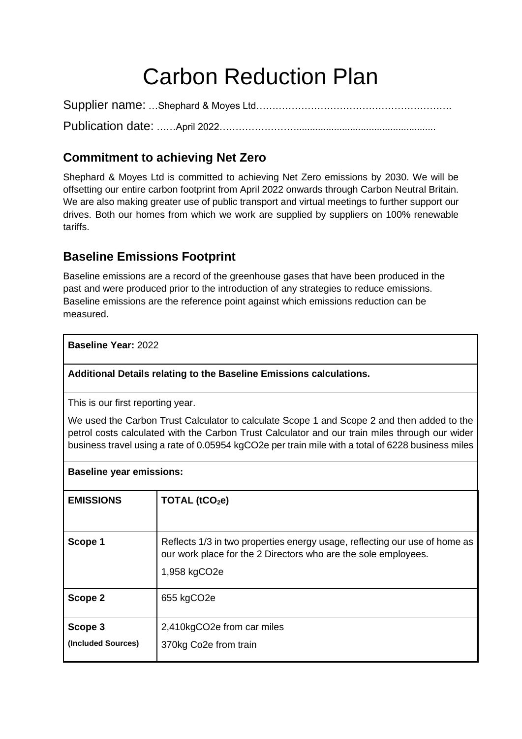# Carbon Reduction Plan

Supplier name: …Shephard & Moyes Ltd……………………………………………………. Publication date: ……April 2022……………………....................................................

# **Commitment to achieving Net Zero**

Shephard & Moyes Ltd is committed to achieving Net Zero emissions by 2030. We will be offsetting our entire carbon footprint from April 2022 onwards through Carbon Neutral Britain. We are also making greater use of public transport and virtual meetings to further support our drives. Both our homes from which we work are supplied by suppliers on 100% renewable tariffs.

#### **Baseline Emissions Footprint**

Baseline emissions are a record of the greenhouse gases that have been produced in the past and were produced prior to the introduction of any strategies to reduce emissions. Baseline emissions are the reference point against which emissions reduction can be measured.

**Baseline Year:** 2022

**Additional Details relating to the Baseline Emissions calculations.**

This is our first reporting year.

We used the Carbon Trust Calculator to calculate Scope 1 and Scope 2 and then added to the petrol costs calculated with the Carbon Trust Calculator and our train miles through our wider business travel using a rate of 0.05954 kgCO2e per train mile with a total of 6228 business miles

| <b>Baseline year emissions:</b> |                                                                                                                                                              |  |
|---------------------------------|--------------------------------------------------------------------------------------------------------------------------------------------------------------|--|
| <b>EMISSIONS</b>                | TOTAL $(tCO2e)$                                                                                                                                              |  |
| Scope 1                         | Reflects 1/3 in two properties energy usage, reflecting our use of home as<br>our work place for the 2 Directors who are the sole employees.<br>1,958 kgCO2e |  |
| Scope 2                         | 655 kgCO2e                                                                                                                                                   |  |
| Scope 3<br>(Included Sources)   | 2,410kgCO2e from car miles<br>370kg Co2e from train                                                                                                          |  |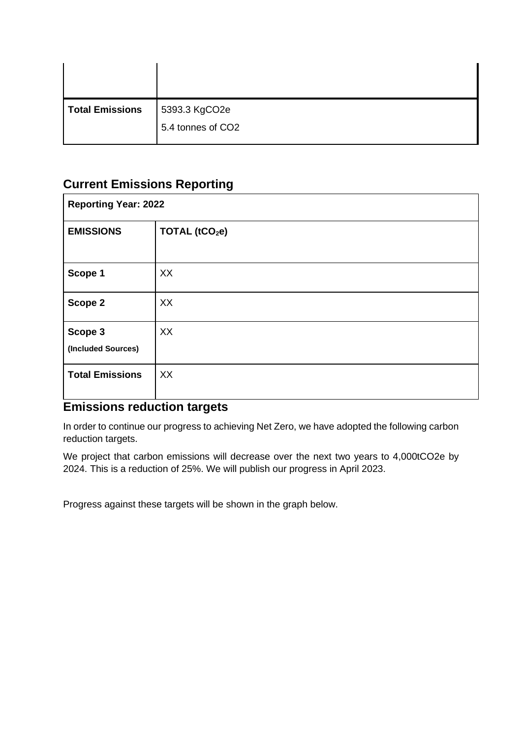| 5393.3 KgCO2e     |
|-------------------|
| 5.4 tonnes of CO2 |
|                   |

# **Current Emissions Reporting**

| <b>Reporting Year: 2022</b>   |                            |  |
|-------------------------------|----------------------------|--|
| <b>EMISSIONS</b>              | TOTAL (tCO <sub>2</sub> e) |  |
| Scope 1                       | XX                         |  |
| Scope 2                       | XX                         |  |
| Scope 3<br>(Included Sources) | XX                         |  |
| <b>Total Emissions</b>        | XX                         |  |

### **Emissions reduction targets**

In order to continue our progress to achieving Net Zero, we have adopted the following carbon reduction targets.

We project that carbon emissions will decrease over the next two years to 4,000tCO2e by 2024. This is a reduction of 25%. We will publish our progress in April 2023.

Progress against these targets will be shown in the graph below.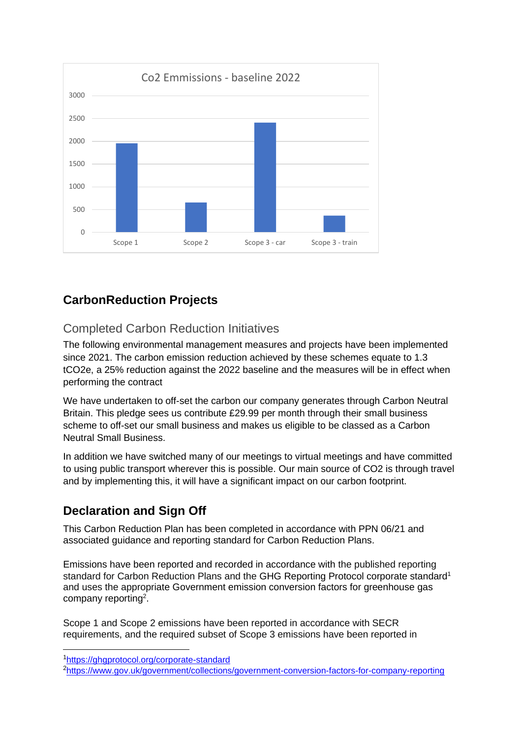

# **CarbonReduction Projects**

### Completed Carbon Reduction Initiatives

The following environmental management measures and projects have been implemented since 2021. The carbon emission reduction achieved by these schemes equate to 1.3 tCO2e, a 25% reduction against the 2022 baseline and the measures will be in effect when performing the contract

We have undertaken to off-set the carbon our company generates through Carbon Neutral Britain. This pledge sees us contribute £29.99 per month through their small business scheme to off-set our small business and makes us eligible to be classed as a Carbon Neutral Small Business.

In addition we have switched many of our meetings to virtual meetings and have committed to using public transport wherever this is possible. Our main source of CO2 is through travel and by implementing this, it will have a significant impact on our carbon footprint.

# **Declaration and Sign Off**

This Carbon Reduction Plan has been completed in accordance with PPN 06/21 and associated guidance and reporting standard for Carbon Reduction Plans.

Emissions have been reported and recorded in accordance with the published reporting standard for Carbon Reduction Plans and the GHG Reporting Protocol corporate standard<sup>1</sup> and uses the appropriate [Government emission conversion factors for greenhouse gas](https://www.gov.uk/government/collections/government-conversion-factors-for-company-reporting)  [company reporting](https://www.gov.uk/government/collections/government-conversion-factors-for-company-reporting)<sup>2</sup>.

Scope 1 and Scope 2 emissions have been reported in accordance with SECR requirements, and the required subset of Scope 3 emissions have been reported in

<sup>1</sup><https://ghgprotocol.org/corporate-standard>

<sup>2</sup><https://www.gov.uk/government/collections/government-conversion-factors-for-company-reporting>